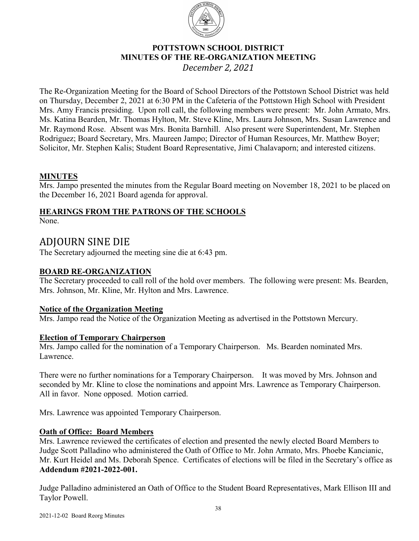

# **POTTSTOWN SCHOOL DISTRICT MINUTES OF THE RE-ORGANIZATION MEETING** *December 2, 2021*

The Re-Organization Meeting for the Board of School Directors of the Pottstown School District was held on Thursday, December 2, 2021 at 6:30 PM in the Cafeteria of the Pottstown High School with President Mrs. Amy Francis presiding. Upon roll call, the following members were present: Mr. John Armato, Mrs. Ms. Katina Bearden, Mr. Thomas Hylton, Mr. Steve Kline, Mrs. Laura Johnson, Mrs. Susan Lawrence and Mr. Raymond Rose. Absent was Mrs. Bonita Barnhill. Also present were Superintendent, Mr. Stephen Rodriguez; Board Secretary, Mrs. Maureen Jampo; Director of Human Resources, Mr. Matthew Boyer; Solicitor, Mr. Stephen Kalis; Student Board Representative, Jimi Chalavaporn; and interested citizens.

# **MINUTES**

Mrs. Jampo presented the minutes from the Regular Board meeting on November 18, 2021 to be placed on the December 16, 2021 Board agenda for approval.

# **HEARINGS FROM THE PATRONS OF THE SCHOOLS**

None.

# ADJOURN SINE DIE

The Secretary adjourned the meeting sine die at 6:43 pm.

# **BOARD RE-ORGANIZATION**

The Secretary proceeded to call roll of the hold over members. The following were present: Ms. Bearden, Mrs. Johnson, Mr. Kline, Mr. Hylton and Mrs. Lawrence.

# **Notice of the Organization Meeting**

Mrs. Jampo read the Notice of the Organization Meeting as advertised in the Pottstown Mercury.

# **Election of Temporary Chairperson**

Mrs. Jampo called for the nomination of a Temporary Chairperson. Ms. Bearden nominated Mrs. Lawrence.

There were no further nominations for a Temporary Chairperson. It was moved by Mrs. Johnson and seconded by Mr. Kline to close the nominations and appoint Mrs. Lawrence as Temporary Chairperson. All in favor. None opposed. Motion carried.

Mrs. Lawrence was appointed Temporary Chairperson.

# **Oath of Office: Board Members**

Mrs. Lawrence reviewed the certificates of election and presented the newly elected Board Members to Judge Scott Palladino who administered the Oath of Office to Mr. John Armato, Mrs. Phoebe Kancianic, Mr. Kurt Heidel and Ms. Deborah Spence. Certificates of elections will be filed in the Secretary's office as **Addendum #2021-2022-001.** 

Judge Palladino administered an Oath of Office to the Student Board Representatives, Mark Ellison III and Taylor Powell.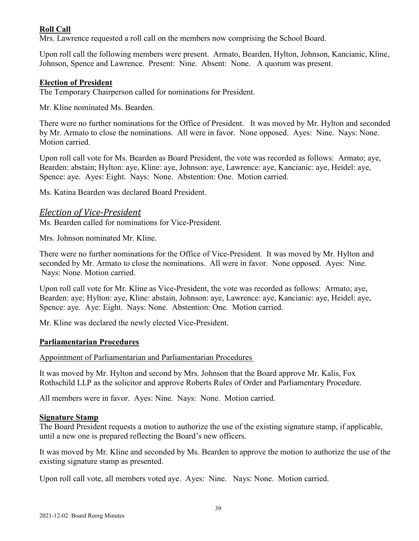# **Roll Call**

Mrs. Lawrence requested a roll call on the members now comprising the School Board.

Upon roll call the following members were present. Armato, Bearden, Hylton, Johnson, Kancianic, Kline, Johnson, Spence and Lawrence. Present: Nine. Absent: None. A quorum was present.

#### **Election of President**

The Temporary Chairperson called for nominations for President.

Mr. Kline nominated Ms. Bearden.

There were no further nominations for the Office of President. It was moved by Mr. Hylton and seconded by Mr. Armato to close the nominations. All were in favor. None opposed. Ayes: Nine. Nays: None. Motion carried.

Upon roll call vote for Ms. Bearden as Board President, the vote was recorded as follows: Armato; aye, Bearden: abstain; Hylton: aye, Kline: aye, Johnson: aye, Lawrence: aye, Kancianic: aye, Heidel: aye, Spence: aye. Ayes: Eight. Nays: None. Abstention: One. Motion carried.

Ms. Katina Bearden was declared Board President.

### *Election of Vice-President*

Ms. Bearden called for nominations for Vice-President.

Mrs. Johnson nominated Mr. Kline.

There were no further nominations for the Office of Vice-President. It was moved by Mr. Hylton and seconded by Mr. Armato to close the nominations. All were in favor. None opposed. Ayes: Nine. Nays: None. Motion carried.

Upon roll call vote for Mr. Kline as Vice-President, the vote was recorded as follows: Armato; aye, Bearden: aye; Hylton: aye, Kline: abstain, Johnson: aye, Lawrence: aye, Kancianic: aye, Heidel: aye, Spence: aye. Aye: Eight. Nays: None. Abstention: One. Motion carried.

Mr. Kline was declared the newly elected Vice-President.

#### **Parliamentarian Procedures**

Appointment of Parliamentarian and Parliamentarian Procedures

It was moved by Mr. Hylton and second by Mrs. Johnson that the Board approve Mr. Kalis, Fox Rothschild LLP as the solicitor and approve Roberts Rules of Order and Parliamentary Procedure.

All members were in favor. Ayes: Nine. Nays: None. Motion carried.

#### **Signature Stamp**

The Board President requests a motion to authorize the use of the existing signature stamp, if applicable, until a new one is prepared reflecting the Board's new officers.

It was moved by Mr. Kline and seconded by Ms. Bearden to approve the motion to authorize the use of the existing signature stamp as presented.

Upon roll call vote, all members voted aye. Ayes: Nine. Nays: None. Motion carried.